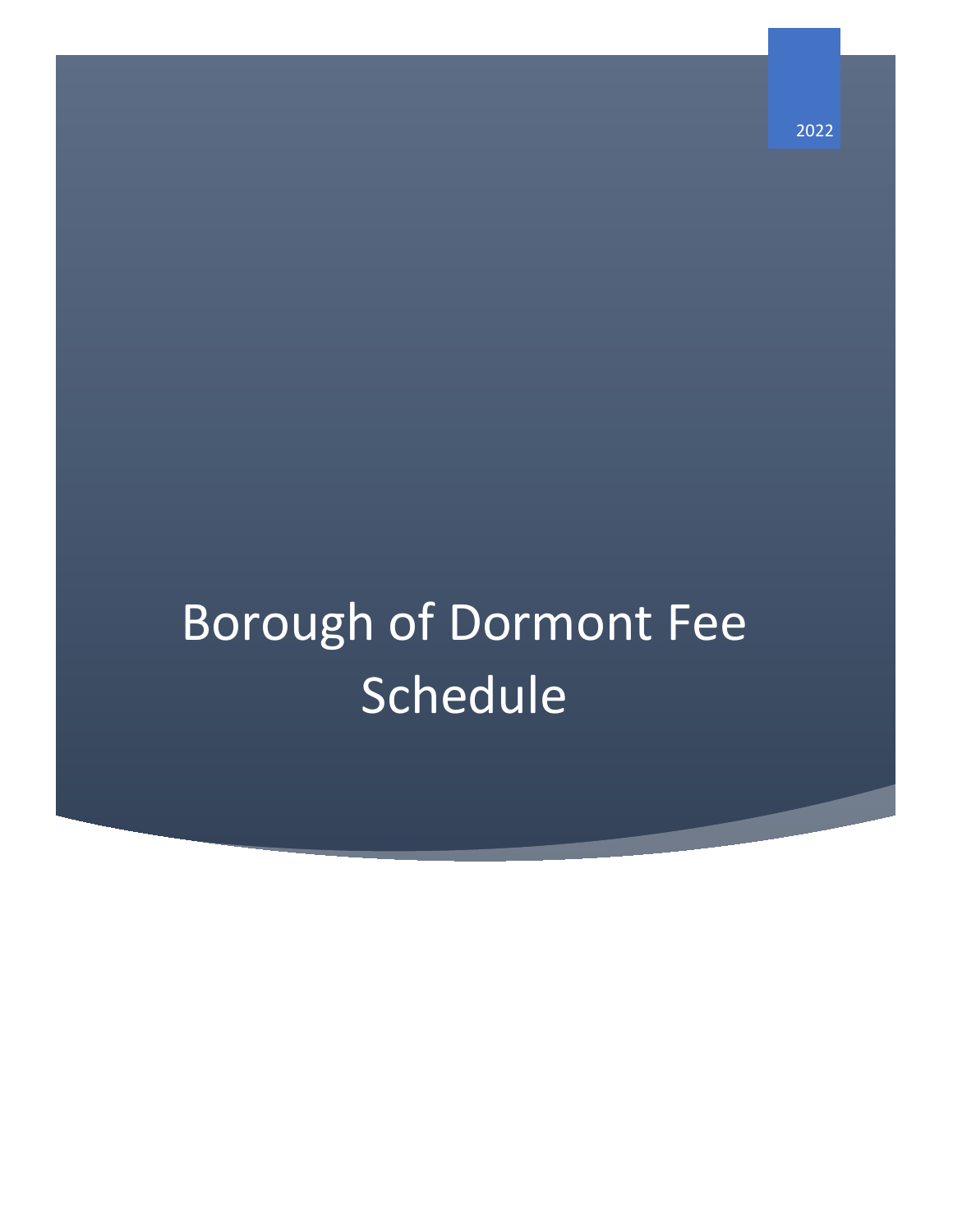# Borough of Dormont Fee **Schedule**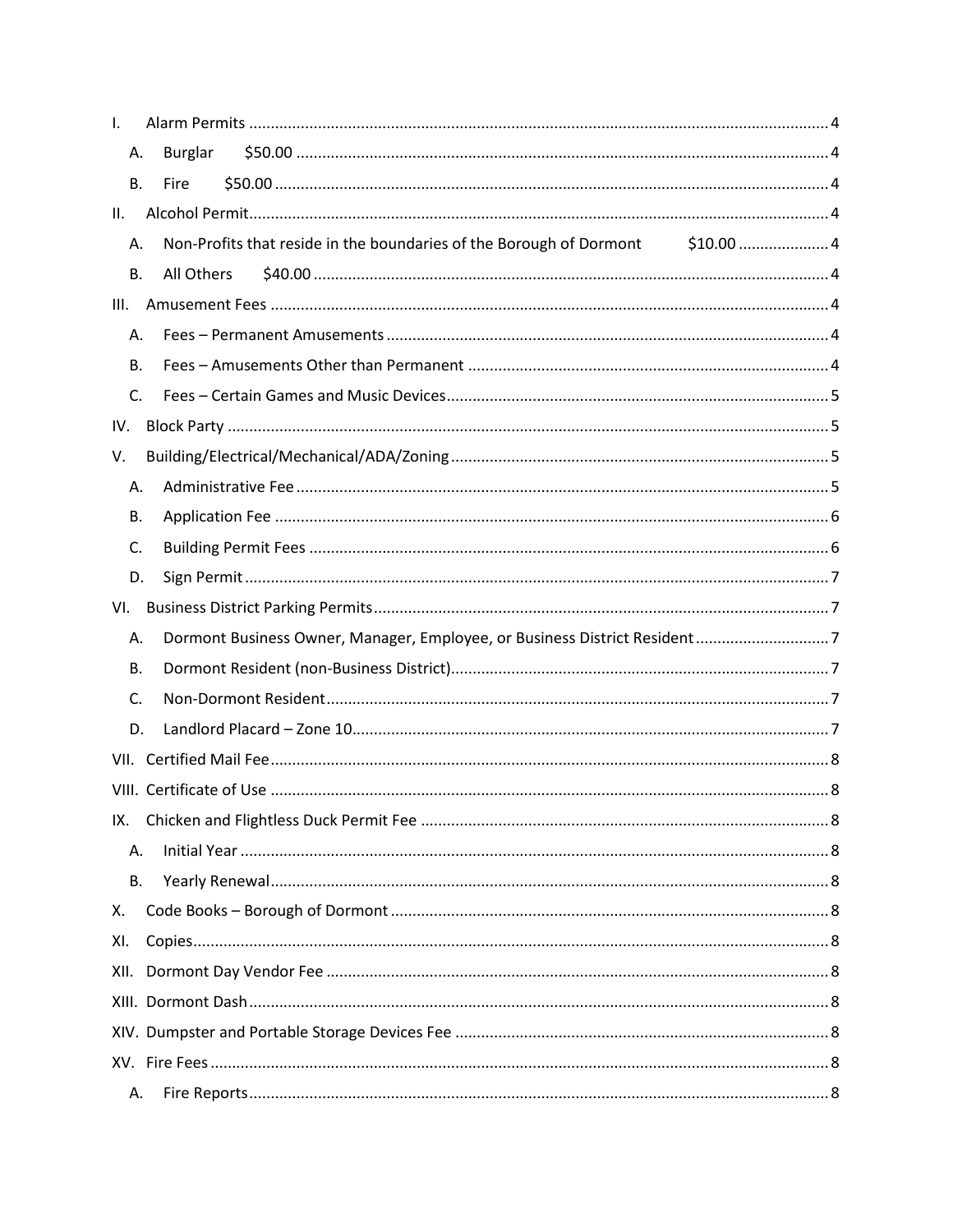| I.   |                                                                                |  |
|------|--------------------------------------------------------------------------------|--|
| А.   | <b>Burglar</b>                                                                 |  |
| В.   | <b>Fire</b>                                                                    |  |
| II.  |                                                                                |  |
| А.   | Non-Profits that reside in the boundaries of the Borough of Dormont \$10.00  4 |  |
| В.   | All Others                                                                     |  |
| III. |                                                                                |  |
| А.   |                                                                                |  |
| В.   |                                                                                |  |
| C.   |                                                                                |  |
| IV.  |                                                                                |  |
| V.   |                                                                                |  |
| А.   |                                                                                |  |
| В.   |                                                                                |  |
| C.   |                                                                                |  |
| D.   |                                                                                |  |
| VI.  |                                                                                |  |
| А.   | Dormont Business Owner, Manager, Employee, or Business District Resident7      |  |
| В.   |                                                                                |  |
| C.   |                                                                                |  |
| D.   |                                                                                |  |
|      |                                                                                |  |
|      |                                                                                |  |
|      |                                                                                |  |
| А.   |                                                                                |  |
| В.   |                                                                                |  |
| Χ.   |                                                                                |  |
| XI.  |                                                                                |  |
|      |                                                                                |  |
|      |                                                                                |  |
|      |                                                                                |  |
|      |                                                                                |  |
| А.   |                                                                                |  |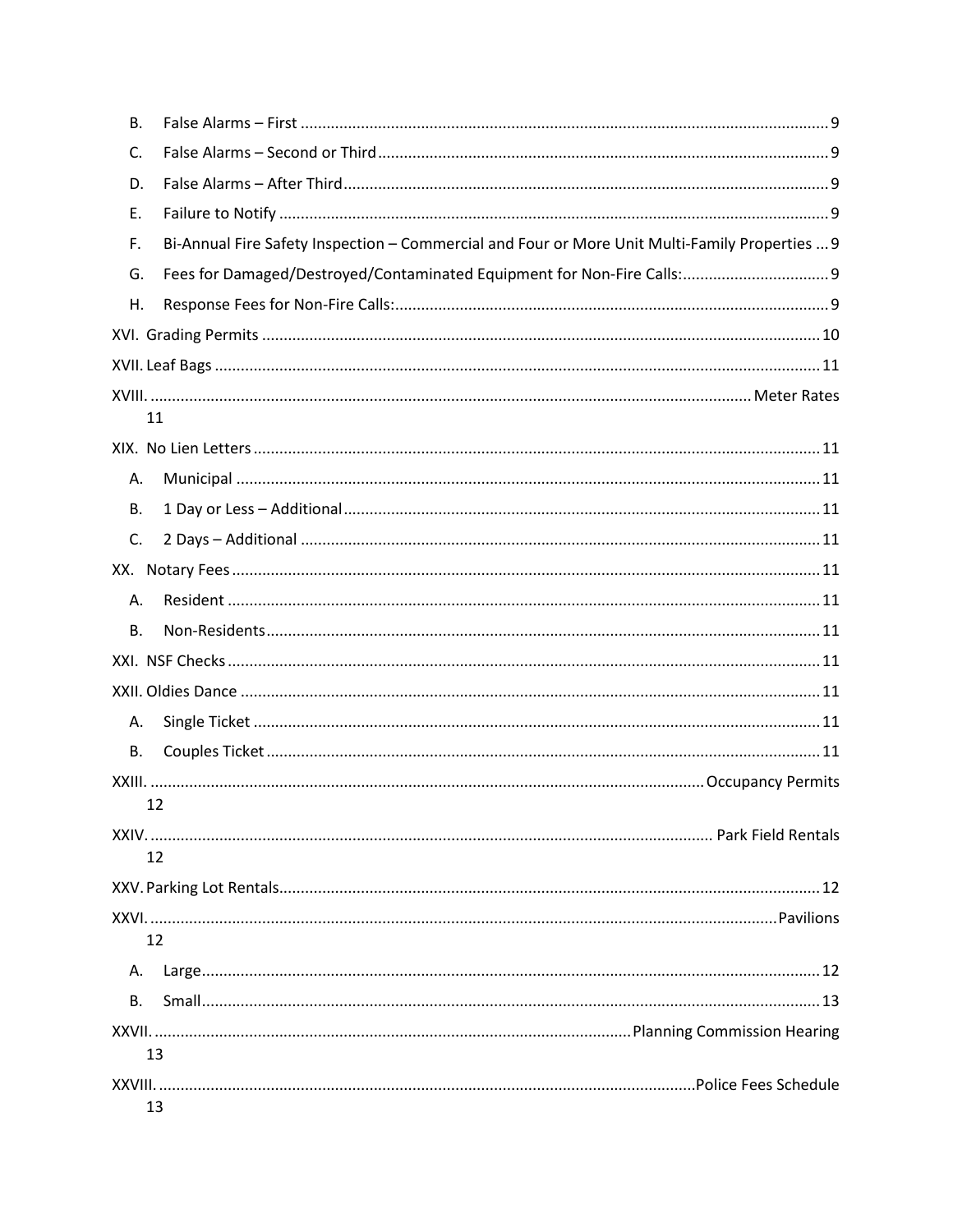| В. |                                                                                                |  |
|----|------------------------------------------------------------------------------------------------|--|
| C. |                                                                                                |  |
| D. |                                                                                                |  |
| Ε. |                                                                                                |  |
| F. | Bi-Annual Fire Safety Inspection - Commercial and Four or More Unit Multi-Family Properties  9 |  |
| G. | Fees for Damaged/Destroyed/Contaminated Equipment for Non-Fire Calls: 9                        |  |
| Η. |                                                                                                |  |
|    |                                                                                                |  |
|    |                                                                                                |  |
|    |                                                                                                |  |
|    | 11                                                                                             |  |
|    |                                                                                                |  |
| А. |                                                                                                |  |
| В. |                                                                                                |  |
| C. |                                                                                                |  |
|    |                                                                                                |  |
| А. |                                                                                                |  |
| В. |                                                                                                |  |
|    |                                                                                                |  |
|    |                                                                                                |  |
| А. |                                                                                                |  |
| В. |                                                                                                |  |
|    |                                                                                                |  |
|    | 12 <sup>2</sup>                                                                                |  |
|    |                                                                                                |  |
|    | 12                                                                                             |  |
|    |                                                                                                |  |
|    | 12                                                                                             |  |
| Α. |                                                                                                |  |
| В. |                                                                                                |  |
|    |                                                                                                |  |
|    | 13                                                                                             |  |
|    |                                                                                                |  |
|    | 13                                                                                             |  |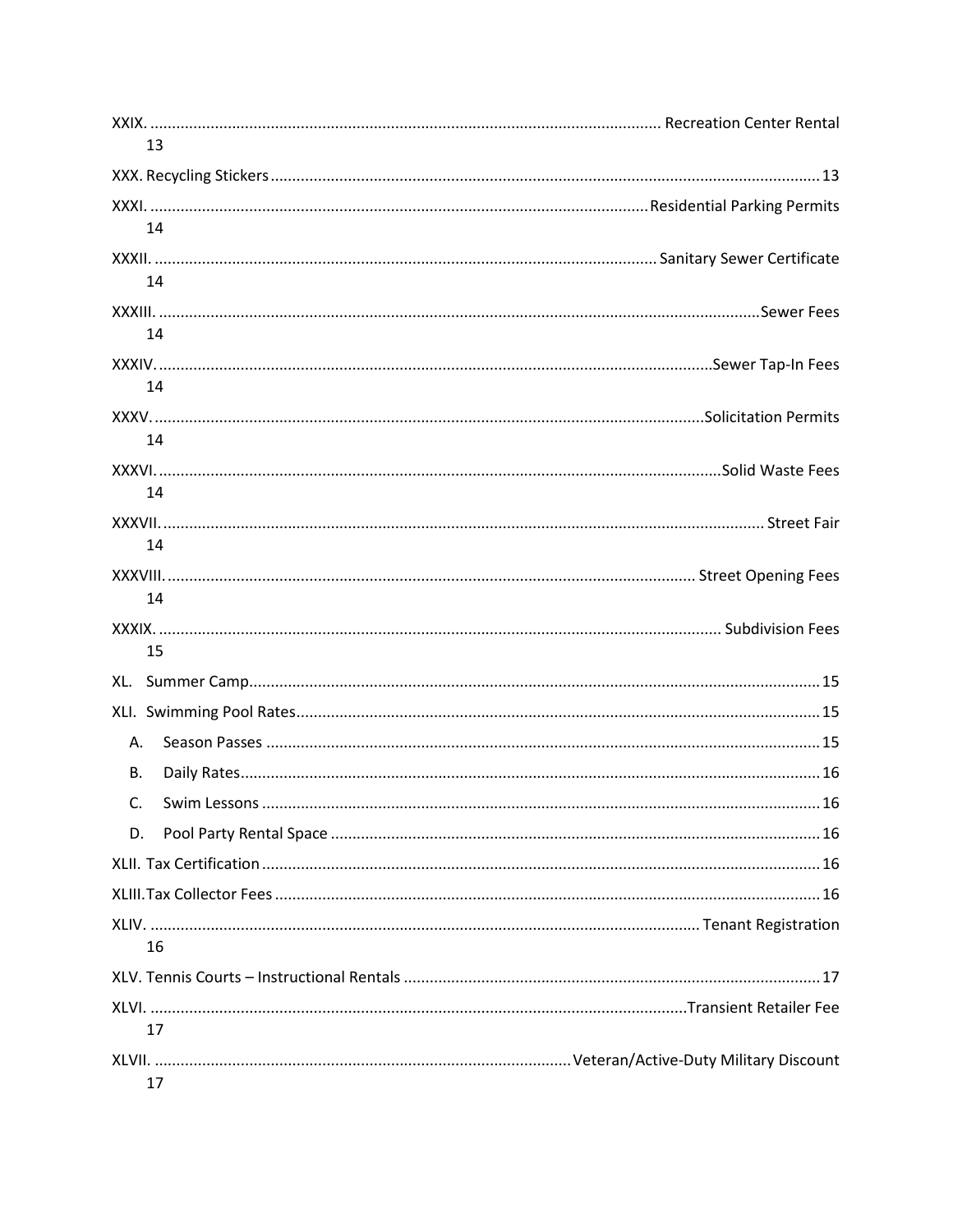| 13        |  |
|-----------|--|
|           |  |
|           |  |
| 14        |  |
|           |  |
| 14        |  |
|           |  |
| 14        |  |
|           |  |
| 14        |  |
|           |  |
| 14        |  |
| 14        |  |
|           |  |
| 14        |  |
|           |  |
| 14        |  |
|           |  |
| 15        |  |
|           |  |
|           |  |
| A.        |  |
| <b>B.</b> |  |
|           |  |
|           |  |
|           |  |
| D.        |  |
|           |  |
|           |  |
|           |  |
| 16        |  |
|           |  |
|           |  |
| 17        |  |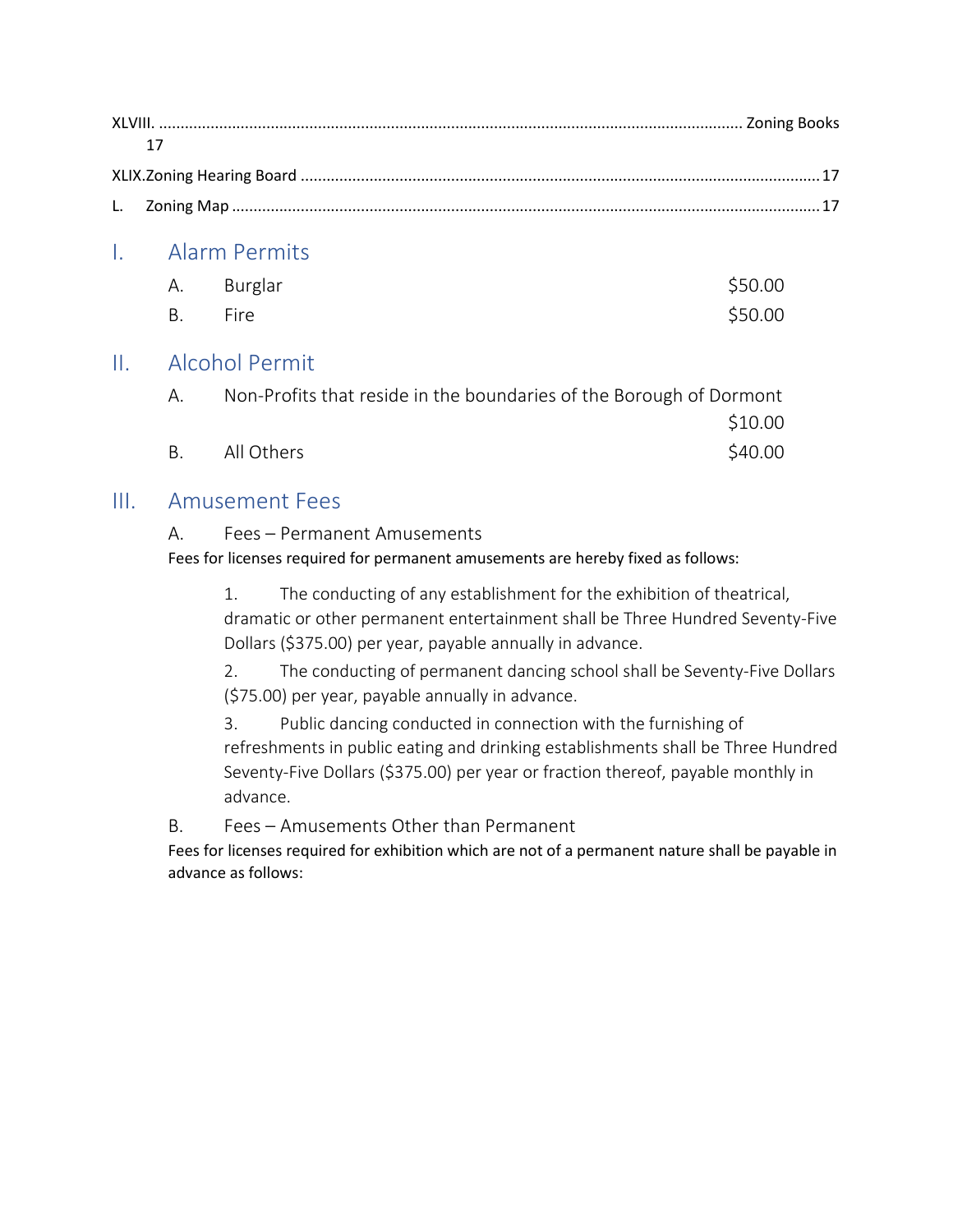## <span id="page-4-1"></span>I. Alarm Permits

<span id="page-4-0"></span>

|         | A. Burglar | \$50.00 |
|---------|------------|---------|
| B. Fire |            | \$50.00 |

### <span id="page-4-4"></span><span id="page-4-3"></span><span id="page-4-2"></span>II. Alcohol Permit

| A. | Non-Profits that reside in the boundaries of the Borough of Dormont |         |
|----|---------------------------------------------------------------------|---------|
|    |                                                                     | \$10.00 |
| B. | All Others                                                          | \$40.00 |

## <span id="page-4-7"></span><span id="page-4-6"></span><span id="page-4-5"></span>III. Amusement Fees

#### A. Fees – Permanent Amusements

Fees for licenses required for permanent amusements are hereby fixed as follows:

1. The conducting of any establishment for the exhibition of theatrical, dramatic or other permanent entertainment shall be Three Hundred Seventy-Five Dollars (\$375.00) per year, payable annually in advance.

2. The conducting of permanent dancing school shall be Seventy-Five Dollars (\$75.00) per year, payable annually in advance.

3. Public dancing conducted in connection with the furnishing of refreshments in public eating and drinking establishments shall be Three Hundred Seventy-Five Dollars (\$375.00) per year or fraction thereof, payable monthly in advance.

<span id="page-4-8"></span>B. Fees – Amusements Other than Permanent

Fees for licenses required for exhibition which are not of a permanent nature shall be payable in advance as follows: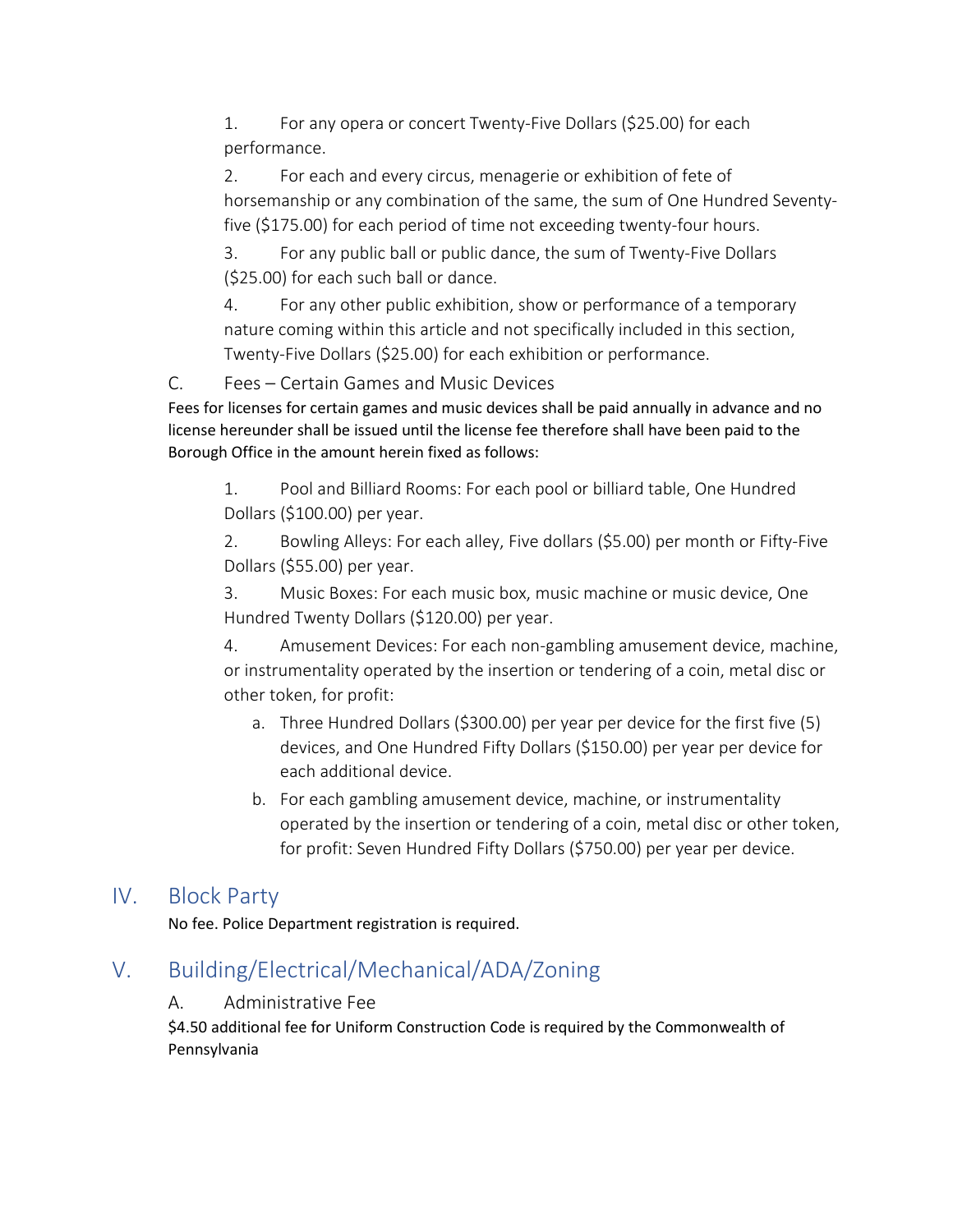1. For any opera or concert Twenty-Five Dollars (\$25.00) for each performance.

2. For each and every circus, menagerie or exhibition of fete of horsemanship or any combination of the same, the sum of One Hundred Seventyfive (\$175.00) for each period of time not exceeding twenty-four hours.

3. For any public ball or public dance, the sum of Twenty-Five Dollars (\$25.00) for each such ball or dance.

4. For any other public exhibition, show or performance of a temporary nature coming within this article and not specifically included in this section, Twenty-Five Dollars (\$25.00) for each exhibition or performance.

<span id="page-5-0"></span>C. Fees – Certain Games and Music Devices

Fees for licenses for certain games and music devices shall be paid annually in advance and no license hereunder shall be issued until the license fee therefore shall have been paid to the Borough Office in the amount herein fixed as follows:

1. Pool and Billiard Rooms: For each pool or billiard table, One Hundred Dollars (\$100.00) per year.

2. Bowling Alleys: For each alley, Five dollars (\$5.00) per month or Fifty-Five Dollars (\$55.00) per year.

3. Music Boxes: For each music box, music machine or music device, One Hundred Twenty Dollars (\$120.00) per year.

4. Amusement Devices: For each non-gambling amusement device, machine, or instrumentality operated by the insertion or tendering of a coin, metal disc or other token, for profit:

- a. Three Hundred Dollars (\$300.00) per year per device for the first five (5) devices, and One Hundred Fifty Dollars (\$150.00) per year per device for each additional device.
- b. For each gambling amusement device, machine, or instrumentality operated by the insertion or tendering of a coin, metal disc or other token, for profit: Seven Hundred Fifty Dollars (\$750.00) per year per device.

## <span id="page-5-1"></span>IV. Block Party

No fee. Police Department registration is required.

## <span id="page-5-3"></span><span id="page-5-2"></span>V. Building/Electrical/Mechanical/ADA/Zoning

#### A. Administrative Fee

\$4.50 additional fee for Uniform Construction Code is required by the Commonwealth of Pennsylvania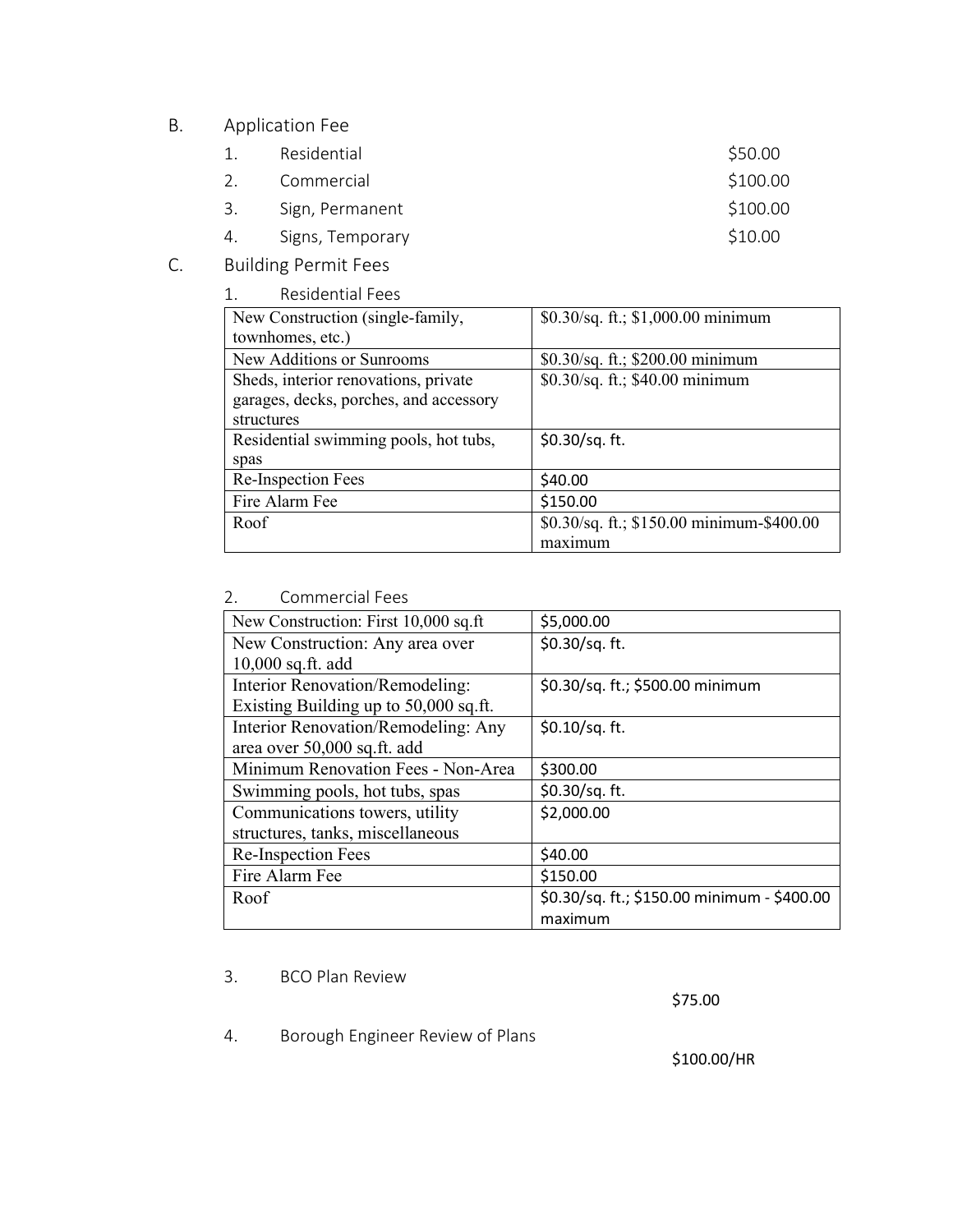#### <span id="page-6-0"></span>B. Application Fee

| Residential | \$50.00  |
|-------------|----------|
| Commercial  | \$100.00 |

- 3. Sign, Permanent \$100.00
- 4. Signs, Temporary 610.00
- <span id="page-6-1"></span>C. Building Permit Fees

| <b>Residential Fees</b><br>$\mathbf{1}$ |                                           |
|-----------------------------------------|-------------------------------------------|
| New Construction (single-family,        | \$0.30/sq. ft.; \$1,000.00 minimum        |
| townhomes, etc.)                        |                                           |
| New Additions or Sunrooms               | \$0.30/sq. ft.; \$200.00 minimum          |
| Sheds, interior renovations, private    | \$0.30/sq. ft.; \$40.00 minimum           |
| garages, decks, porches, and accessory  |                                           |
| structures                              |                                           |
| Residential swimming pools, hot tubs,   | \$0.30/sq. ft.                            |
| spas                                    |                                           |
| Re-Inspection Fees                      | \$40.00                                   |
| Fire Alarm Fee                          | \$150.00                                  |
| Roof                                    | \$0.30/sq. ft.; \$150.00 minimum-\$400.00 |
|                                         | maximum                                   |

#### 2. Commercial Fees

| New Construction: First 10,000 sq.ft  | \$5,000.00                                  |
|---------------------------------------|---------------------------------------------|
| New Construction: Any area over       | \$0.30/sq. ft.                              |
| 10,000 sq.ft. add                     |                                             |
| Interior Renovation/Remodeling:       | \$0.30/sq. ft.; \$500.00 minimum            |
| Existing Building up to 50,000 sq.ft. |                                             |
| Interior Renovation/Remodeling: Any   | $$0.10$ /sq. ft.                            |
| area over 50,000 sq.ft. add           |                                             |
| Minimum Renovation Fees - Non-Area    | \$300.00                                    |
| Swimming pools, hot tubs, spas        | \$0.30/sq. ft.                              |
| Communications towers, utility        | \$2,000.00                                  |
| structures, tanks, miscellaneous      |                                             |
| Re-Inspection Fees                    | \$40.00                                     |
| Fire Alarm Fee                        | \$150.00                                    |
| Roof                                  | \$0.30/sq. ft.; \$150.00 minimum - \$400.00 |
|                                       | maximum                                     |

#### 3. BCO Plan Review

\$75.00

4. Borough Engineer Review of Plans

\$100.00/HR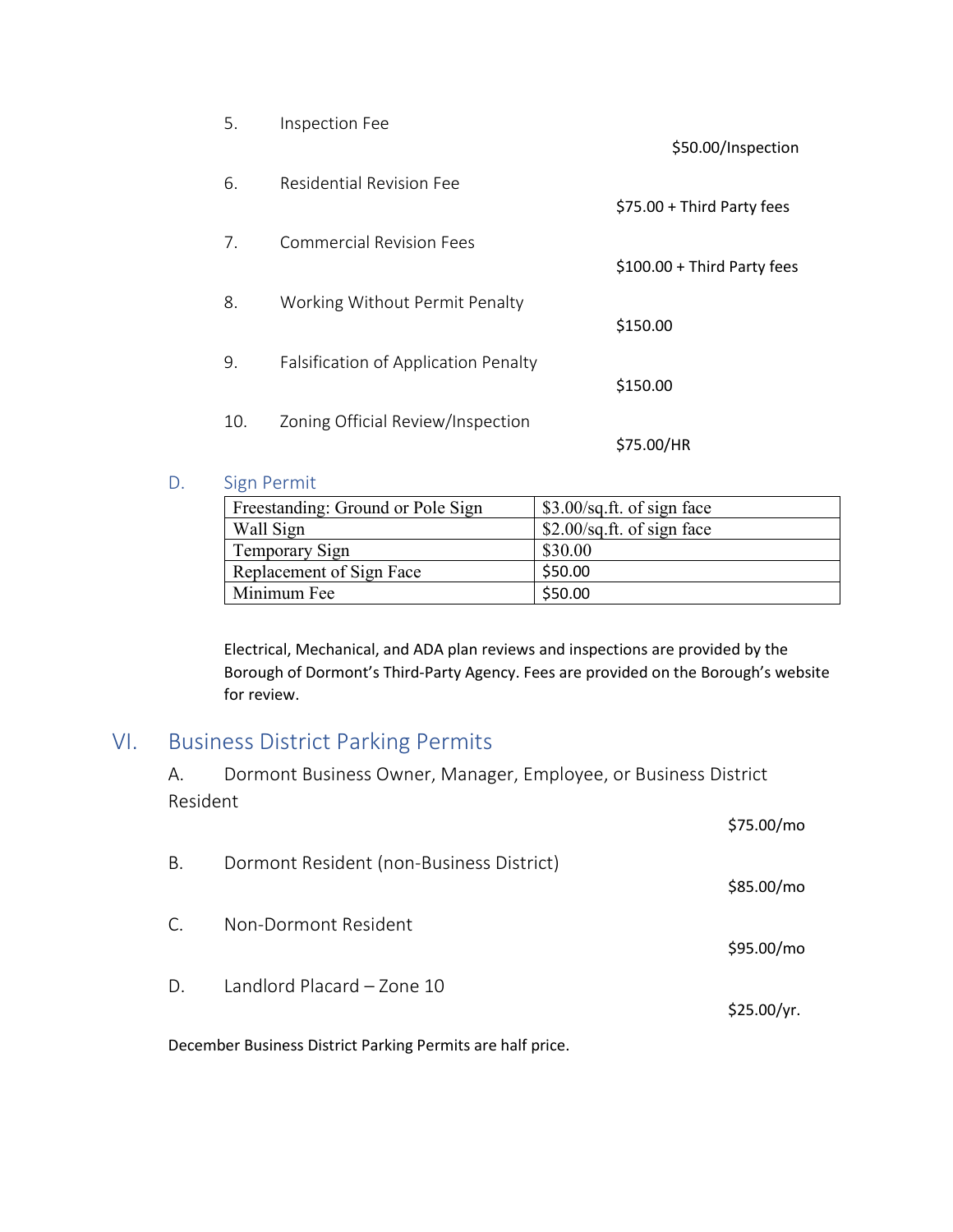| 5.  | Inspection Fee                       | \$50.00/Inspection           |
|-----|--------------------------------------|------------------------------|
| 6.  | Residential Revision Fee             | \$75.00 + Third Party fees   |
| 7.  | Commercial Revision Fees             | $$100.00 + Third Party fees$ |
| 8.  | Working Without Permit Penalty       | \$150.00                     |
| 9.  | Falsification of Application Penalty | \$150.00                     |
| 10. | Zoning Official Review/Inspection    | \$75.00/HR                   |

#### <span id="page-7-0"></span>D. Sign Permit

| Freestanding: Ground or Pole Sign | \$3.00/sq.ft. of sign face   |
|-----------------------------------|------------------------------|
| Wall Sign                         | $$2.00$ /sq.ft. of sign face |
| Temporary Sign                    | \$30.00                      |
| Replacement of Sign Face          | \$50.00                      |
| Minimum Fee                       | \$50.00                      |

Electrical, Mechanical, and ADA plan reviews and inspections are provided by the Borough of Dormont's Third-Party Agency. Fees are provided on the Borough's website for review.

## <span id="page-7-2"></span><span id="page-7-1"></span>VI. Business District Parking Permits

A. Dormont Business Owner, Manager, Employee, or Business District Resident

<span id="page-7-4"></span><span id="page-7-3"></span>

| \$75.00/mo  |
|-------------|
| \$85.00/mo  |
| \$95.00/mo  |
| \$25.00/yr. |
|             |

<span id="page-7-5"></span>December Business District Parking Permits are half price.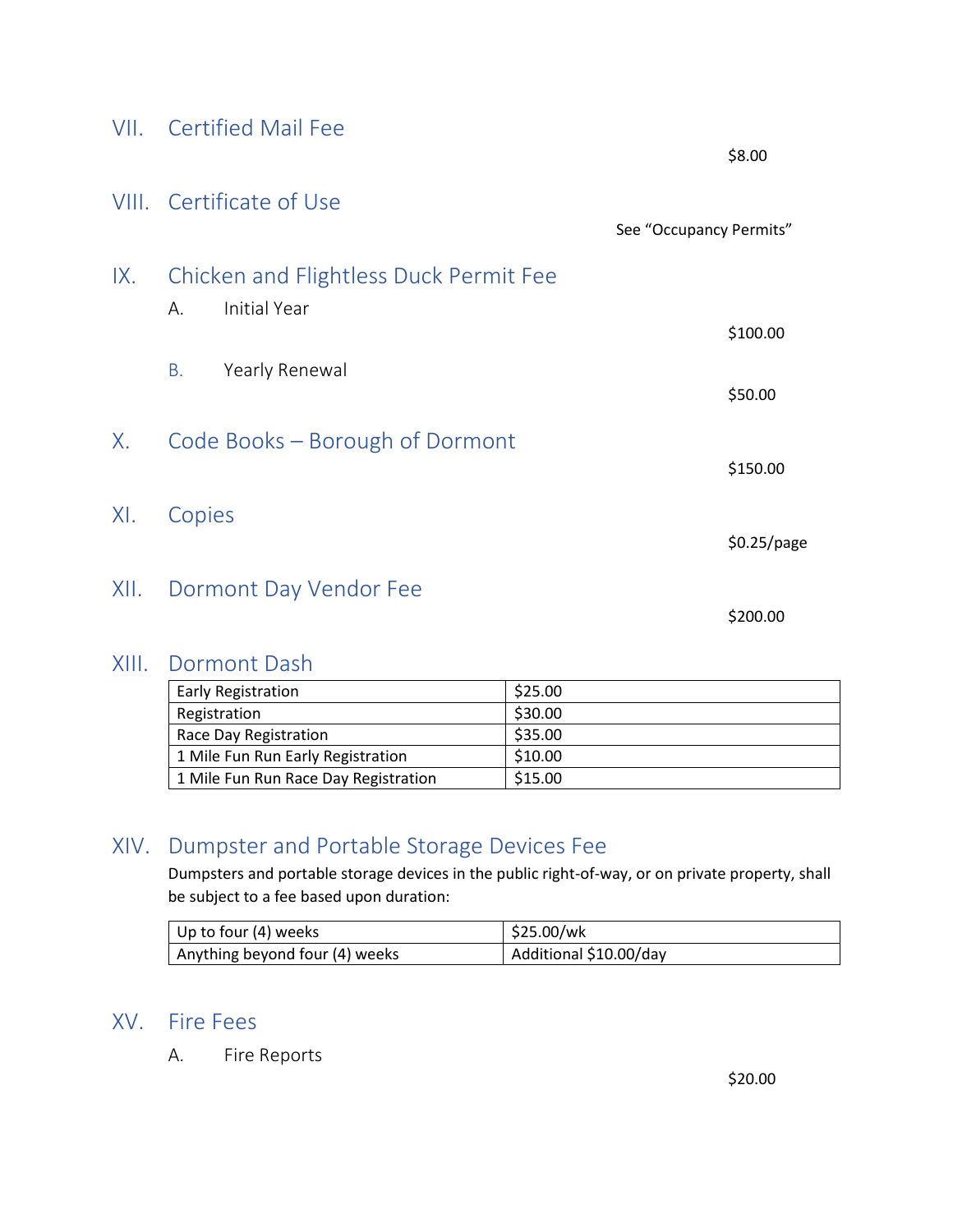<span id="page-8-1"></span><span id="page-8-0"></span>

| VII. Certified Mail Fee                                       |
|---------------------------------------------------------------|
| VIII. Certificate of Use                                      |
| IX. Chicken and Flightless Duck Permit Fee<br>A. Initial Year |

- <span id="page-8-4"></span><span id="page-8-3"></span><span id="page-8-2"></span>B. Yearly Renewal
- <span id="page-8-5"></span>X. Code Books – Borough of Dormont
- <span id="page-8-6"></span>XI. Copies

#### <span id="page-8-7"></span>XII. Dormont Day Vendor Fee

\$200.00

\$8.00

\$100.00

\$50.00

\$150.00

\$0.25/page

See "Occupancy Permits"

#### <span id="page-8-8"></span>XIII. Dormont Dash

| <b>Early Registration</b>            | \$25.00 |
|--------------------------------------|---------|
| Registration                         | \$30.00 |
| Race Day Registration                | \$35.00 |
| 1 Mile Fun Run Early Registration    | \$10.00 |
| 1 Mile Fun Run Race Day Registration | \$15.00 |

#### <span id="page-8-9"></span>XIV. Dumpster and Portable Storage Devices Fee

Dumpsters and portable storage devices in the public right-of-way, or on private property, shall be subject to a fee based upon duration:

| Up to four (4) weeks           | \$25.00/wk             |
|--------------------------------|------------------------|
| Anything beyond four (4) weeks | Additional \$10.00/day |

#### <span id="page-8-11"></span><span id="page-8-10"></span>XV. Fire Fees

A. Fire Reports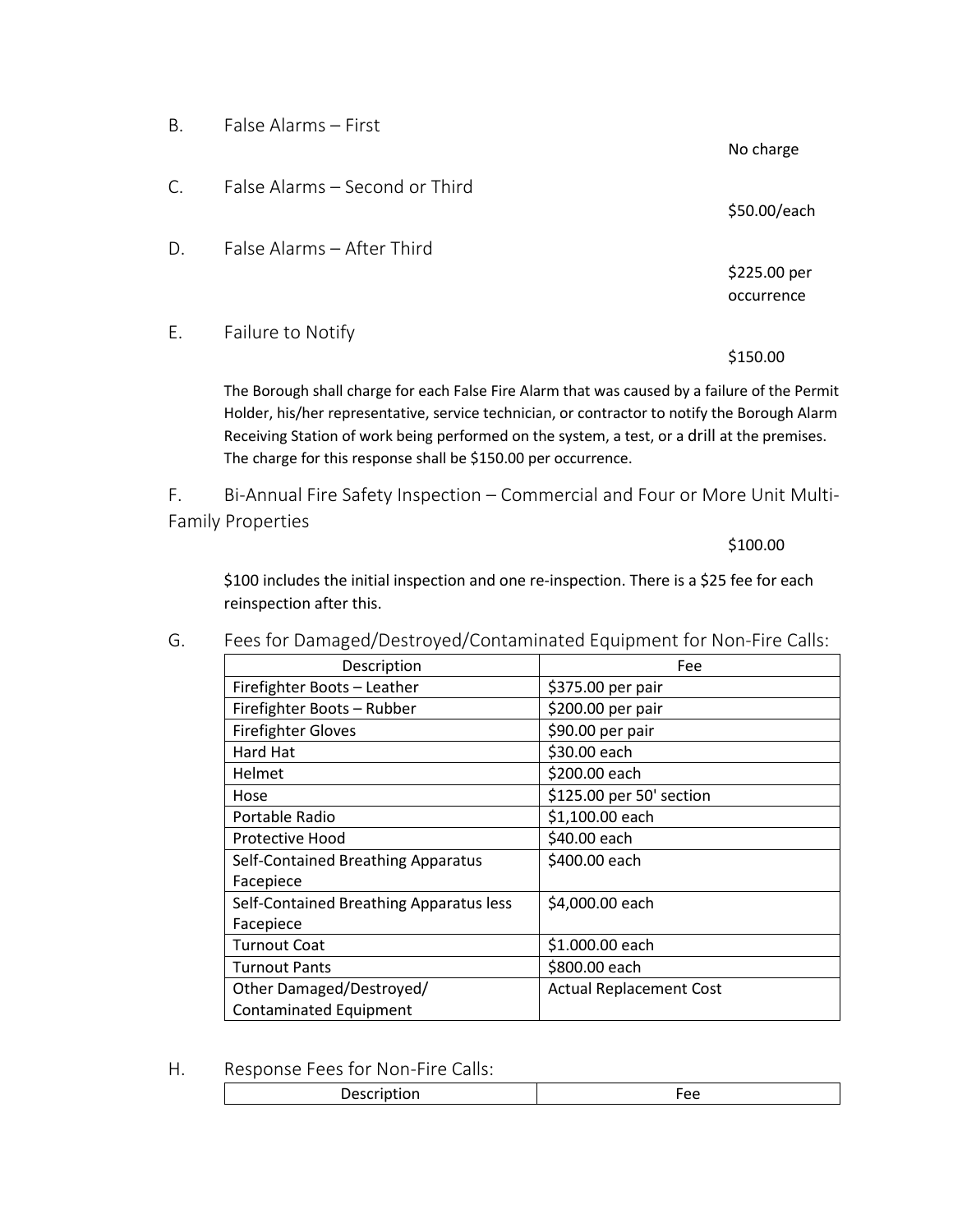<span id="page-9-2"></span><span id="page-9-1"></span><span id="page-9-0"></span>

| Β. | False Alarms - First                                                                        |              |
|----|---------------------------------------------------------------------------------------------|--------------|
|    |                                                                                             | No charge    |
| C. | False Alarms – Second or Third                                                              |              |
|    |                                                                                             | \$50.00/each |
| D. | False Alarms - After Third                                                                  |              |
|    |                                                                                             | \$225.00 per |
|    |                                                                                             | occurrence   |
| Ε. | Failure to Notify                                                                           |              |
|    |                                                                                             | \$150.00     |
|    | The Borough shall charge for each False Fire Alarm that was caused by a failure of the Perr |              |

<span id="page-9-3"></span>The Borough shall charge for each False Fire Alarm that was caused by a failure of the Permit Holder, his/her representative, service technician, or contractor to notify the Borough Alarm Receiving Station of work being performed on the system, a test, or a drill at the premises. The charge for this response shall be \$150.00 per occurrence.

<span id="page-9-4"></span>F. Bi-Annual Fire Safety Inspection – Commercial and Four or More Unit Multi-Family Properties

\$100.00

\$100 includes the initial inspection and one re-inspection. There is a \$25 fee for each reinspection after this.

| Description                             | Fee                            |
|-----------------------------------------|--------------------------------|
| Firefighter Boots - Leather             | \$375.00 per pair              |
| Firefighter Boots - Rubber              | \$200.00 per pair              |
| <b>Firefighter Gloves</b>               | \$90.00 per pair               |
| Hard Hat                                | \$30.00 each                   |
| <b>Helmet</b>                           | \$200.00 each                  |
| Hose                                    | \$125.00 per 50' section       |
| Portable Radio                          | \$1,100.00 each                |
| Protective Hood                         | \$40.00 each                   |
| Self-Contained Breathing Apparatus      | \$400.00 each                  |
| Facepiece                               |                                |
| Self-Contained Breathing Apparatus less | \$4,000.00 each                |
| Facepiece                               |                                |
| Turnout Coat                            | \$1.000.00 each                |
| <b>Turnout Pants</b>                    | \$800.00 each                  |
| Other Damaged/Destroyed/                | <b>Actual Replacement Cost</b> |
| <b>Contaminated Equipment</b>           |                                |

<span id="page-9-5"></span>G. Fees for Damaged/Destroyed/Contaminated Equipment for Non-Fire Calls:

<span id="page-9-6"></span>H. Response Fees for Non-Fire Calls: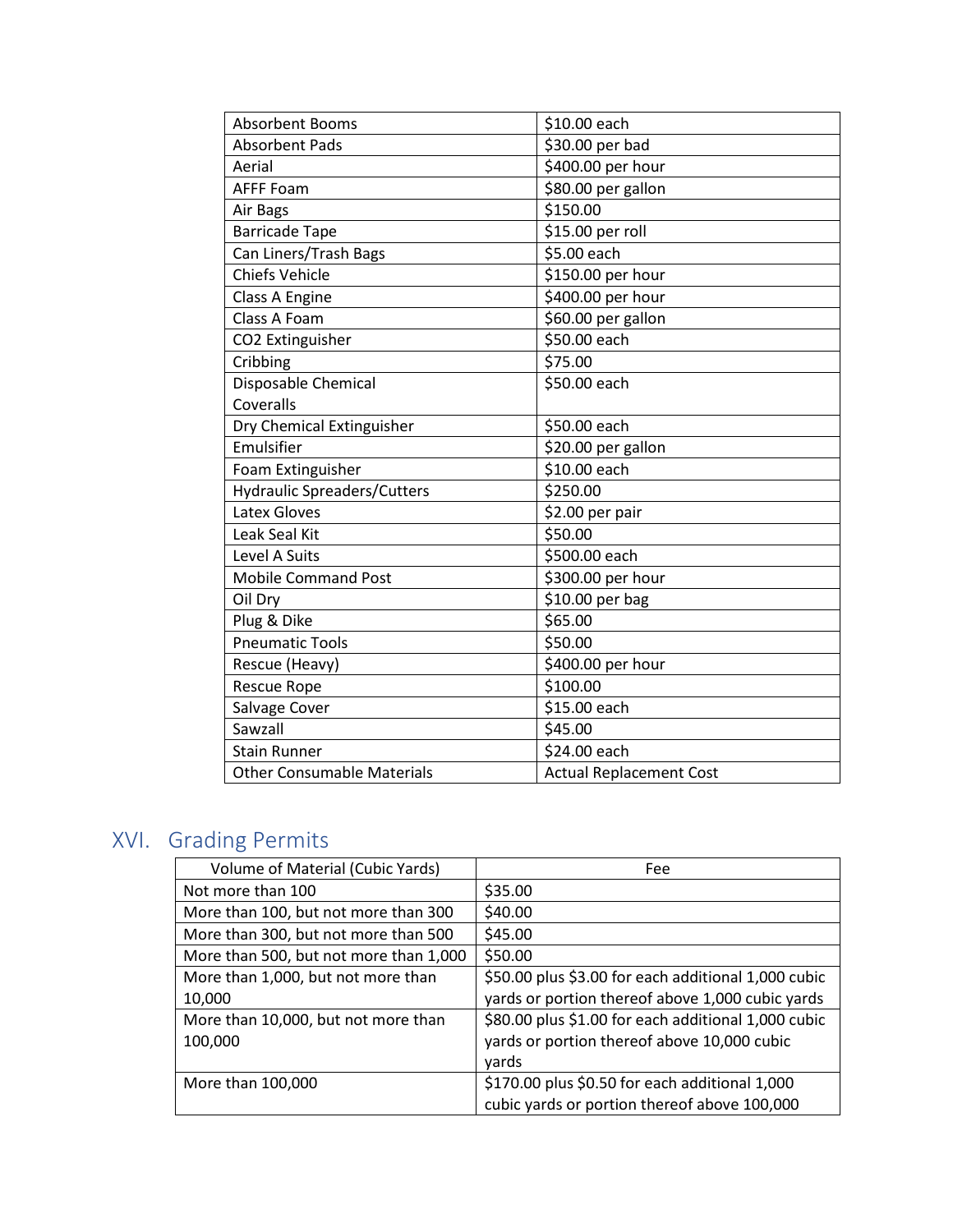| <b>Absorbent Booms</b>             | \$10.00 each                   |
|------------------------------------|--------------------------------|
| <b>Absorbent Pads</b>              | \$30.00 per bad                |
| Aerial                             | \$400.00 per hour              |
| <b>AFFF Foam</b>                   | \$80.00 per gallon             |
| Air Bags                           | \$150.00                       |
| <b>Barricade Tape</b>              | \$15.00 per roll               |
| Can Liners/Trash Bags              | \$5.00 each                    |
| <b>Chiefs Vehicle</b>              | \$150.00 per hour              |
| Class A Engine                     | \$400.00 per hour              |
| Class A Foam                       | \$60.00 per gallon             |
| CO2 Extinguisher                   | \$50.00 each                   |
| Cribbing                           | \$75.00                        |
| Disposable Chemical                | \$50.00 each                   |
| Coveralls                          |                                |
| Dry Chemical Extinguisher          | \$50.00 each                   |
| Emulsifier                         | \$20.00 per gallon             |
| Foam Extinguisher                  | \$10.00 each                   |
| <b>Hydraulic Spreaders/Cutters</b> | \$250.00                       |
| Latex Gloves                       | \$2.00 per pair                |
| Leak Seal Kit                      | \$50.00                        |
| Level A Suits                      | \$500.00 each                  |
| <b>Mobile Command Post</b>         | \$300.00 per hour              |
| Oil Dry                            | \$10.00 per bag                |
| Plug & Dike                        | \$65.00                        |
| <b>Pneumatic Tools</b>             | \$50.00                        |
| Rescue (Heavy)                     | \$400.00 per hour              |
| <b>Rescue Rope</b>                 | \$100.00                       |
| Salvage Cover                      | \$15.00 each                   |
| Sawzall                            | \$45.00                        |
| <b>Stain Runner</b>                | \$24.00 each                   |
| <b>Other Consumable Materials</b>  | <b>Actual Replacement Cost</b> |

## <span id="page-10-0"></span>XVI. Grading Permits

| Volume of Material (Cubic Yards)       | Fee                                                 |
|----------------------------------------|-----------------------------------------------------|
| Not more than 100                      | \$35.00                                             |
| More than 100, but not more than 300   | \$40.00                                             |
| More than 300, but not more than 500   | \$45.00                                             |
| More than 500, but not more than 1,000 | \$50.00                                             |
| More than 1,000, but not more than     | \$50.00 plus \$3.00 for each additional 1,000 cubic |
| 10,000                                 | yards or portion thereof above 1,000 cubic yards    |
| More than 10,000, but not more than    | \$80.00 plus \$1.00 for each additional 1,000 cubic |
| 100,000                                | yards or portion thereof above 10,000 cubic         |
|                                        | vards                                               |
| More than 100,000                      | \$170.00 plus \$0.50 for each additional 1,000      |
|                                        | cubic yards or portion thereof above 100,000        |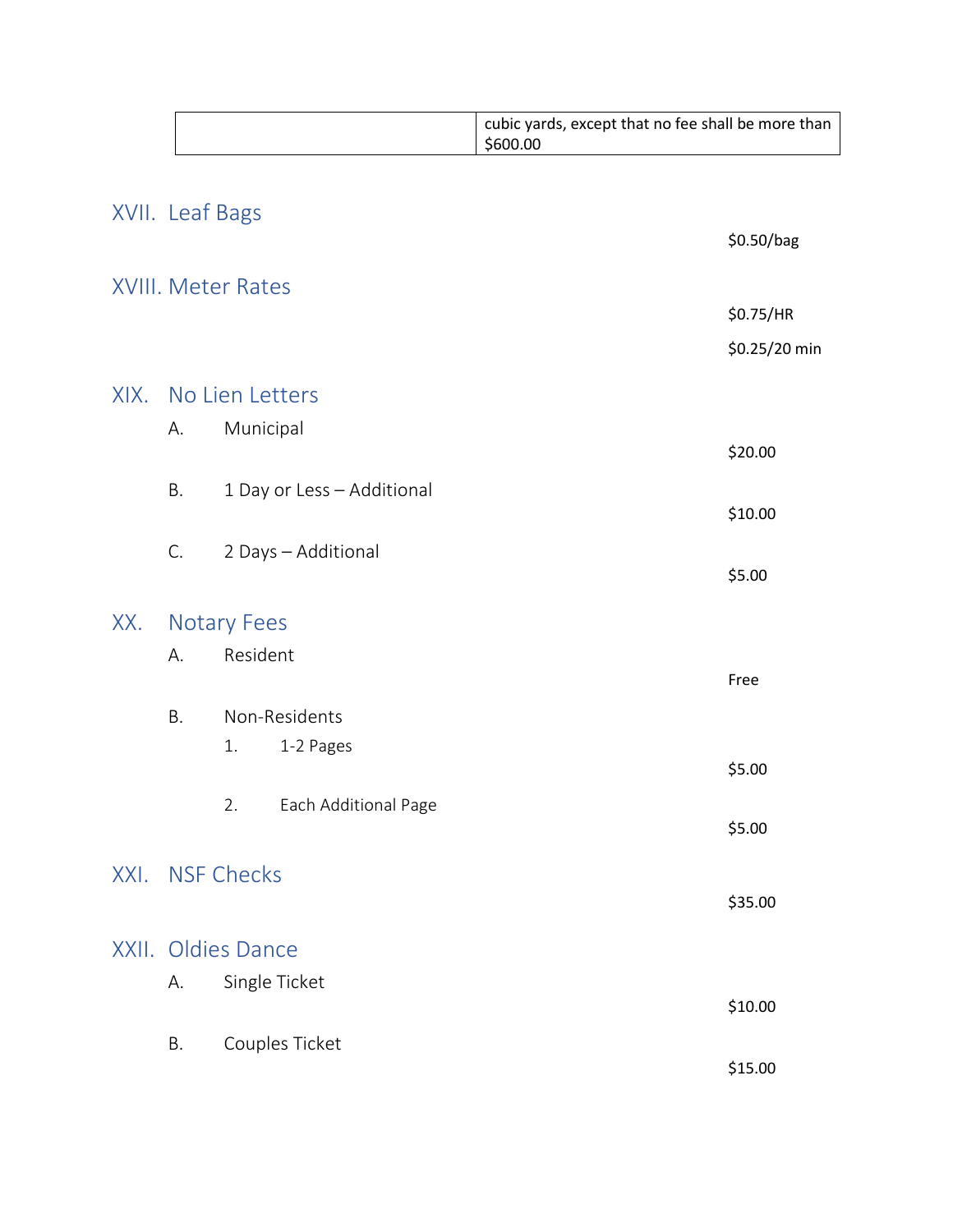<span id="page-11-12"></span><span id="page-11-11"></span><span id="page-11-10"></span><span id="page-11-9"></span><span id="page-11-8"></span><span id="page-11-7"></span><span id="page-11-6"></span><span id="page-11-5"></span><span id="page-11-4"></span><span id="page-11-3"></span><span id="page-11-2"></span><span id="page-11-1"></span><span id="page-11-0"></span>

|                 |    |                            | cubic yards, except that no fee shall be more than<br>\$600.00 |
|-----------------|----|----------------------------|----------------------------------------------------------------|
| XVII. Leaf Bags |    |                            |                                                                |
|                 |    |                            | \$0.50/bag                                                     |
|                 |    | <b>XVIII. Meter Rates</b>  |                                                                |
|                 |    |                            | \$0.75/HR                                                      |
|                 |    |                            | \$0.25/20 min                                                  |
|                 |    | XIX. No Lien Letters       |                                                                |
|                 | А. | Municipal                  |                                                                |
|                 |    |                            | \$20.00                                                        |
|                 | B. | 1 Day or Less - Additional | \$10.00                                                        |
|                 | C. | 2 Days - Additional        |                                                                |
|                 |    |                            | \$5.00                                                         |
| XX.             |    | <b>Notary Fees</b>         |                                                                |
|                 | А. | Resident                   |                                                                |
|                 |    |                            | Free                                                           |
|                 | Β. | Non-Residents              |                                                                |
|                 |    | 1.<br>1-2 Pages            | \$5.00                                                         |
|                 |    | 2.<br>Each Additional Page |                                                                |
|                 |    |                            | \$5.00                                                         |
|                 |    | XXI. NSF Checks            |                                                                |
|                 |    |                            | \$35.00                                                        |
|                 |    | XXII. Oldies Dance         |                                                                |
|                 | А. | Single Ticket              |                                                                |
|                 |    |                            | \$10.00                                                        |
|                 | Β. | Couples Ticket             |                                                                |
|                 |    |                            | \$15.00                                                        |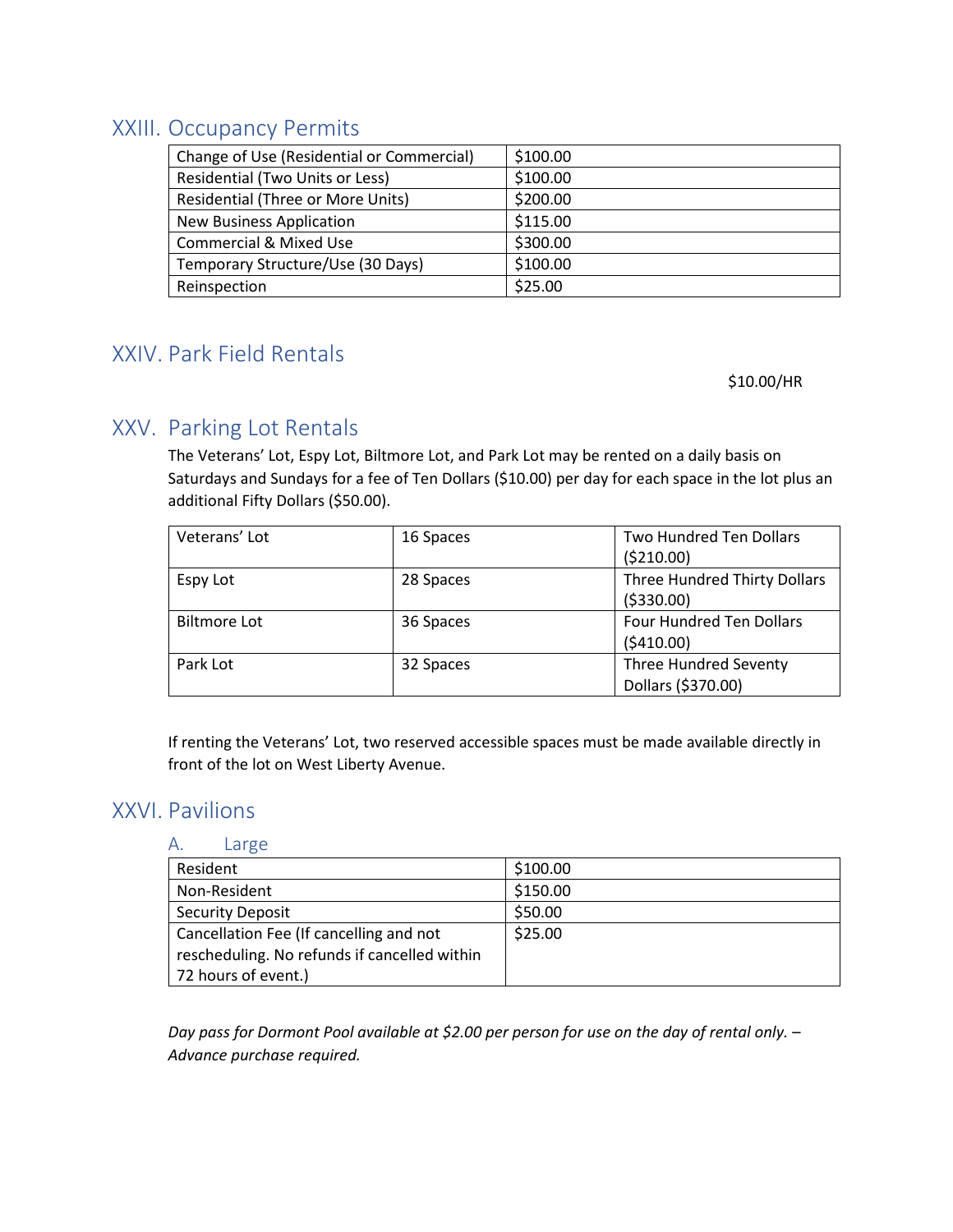## <span id="page-12-0"></span>XXIII. Occupancy Permits

| Change of Use (Residential or Commercial) | \$100.00 |
|-------------------------------------------|----------|
| Residential (Two Units or Less)           | \$100.00 |
| Residential (Three or More Units)         | \$200.00 |
| <b>New Business Application</b>           | \$115.00 |
| <b>Commercial &amp; Mixed Use</b>         | \$300.00 |
| Temporary Structure/Use (30 Days)         | \$100.00 |
| Reinspection                              | \$25.00  |

## <span id="page-12-1"></span>XXIV. Park Field Rentals

\$10.00/HR

#### <span id="page-12-2"></span>XXV. Parking Lot Rentals

The Veterans' Lot, Espy Lot, Biltmore Lot, and Park Lot may be rented on a daily basis on Saturdays and Sundays for a fee of Ten Dollars (\$10.00) per day for each space in the lot plus an additional Fifty Dollars (\$50.00).

| Veterans' Lot       | 16 Spaces | <b>Two Hundred Ten Dollars</b><br>( \$210.00)      |
|---------------------|-----------|----------------------------------------------------|
| Espy Lot            | 28 Spaces | Three Hundred Thirty Dollars<br>( \$330.00)        |
| <b>Biltmore Lot</b> | 36 Spaces | <b>Four Hundred Ten Dollars</b><br>(5410.00)       |
| Park Lot            | 32 Spaces | <b>Three Hundred Seventy</b><br>Dollars (\$370.00) |

If renting the Veterans' Lot, two reserved accessible spaces must be made available directly in front of the lot on West Liberty Avenue.

#### <span id="page-12-4"></span><span id="page-12-3"></span>XXVI. Pavilions

#### A. Large

| Resident                                     | \$100.00 |
|----------------------------------------------|----------|
| Non-Resident                                 | \$150.00 |
| <b>Security Deposit</b>                      | \$50.00  |
| Cancellation Fee (If cancelling and not      | \$25.00  |
| rescheduling. No refunds if cancelled within |          |
| 72 hours of event.)                          |          |

*Day pass for Dormont Pool available at \$2.00 per person for use on the day of rental only. – Advance purchase required.*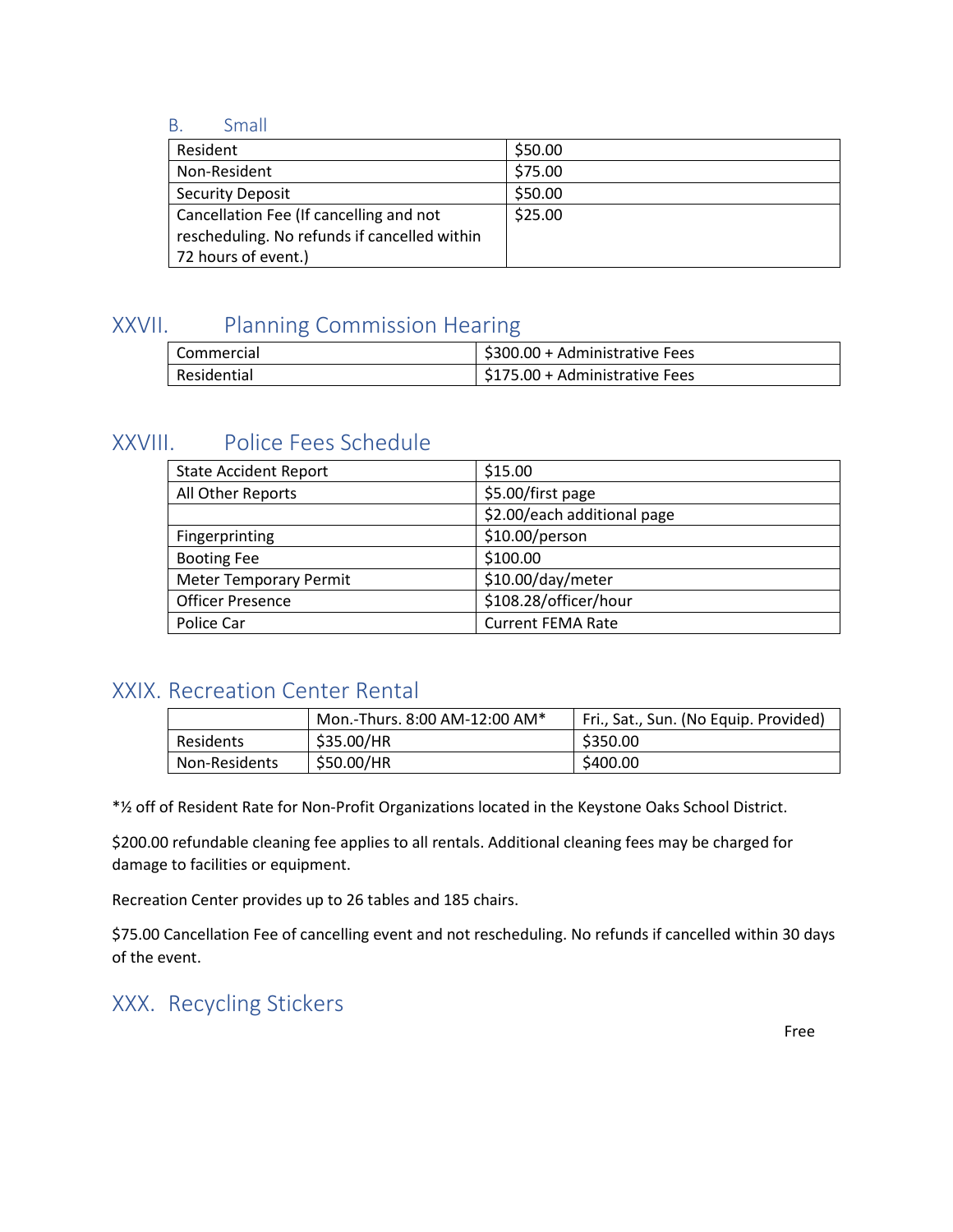#### <span id="page-13-0"></span>B. Small

| Resident                                     | \$50.00 |
|----------------------------------------------|---------|
| Non-Resident                                 | \$75.00 |
| <b>Security Deposit</b>                      | \$50.00 |
| Cancellation Fee (If cancelling and not      | \$25.00 |
| rescheduling. No refunds if cancelled within |         |
| 72 hours of event.)                          |         |

#### <span id="page-13-1"></span>XXVII. Planning Commission Hearing

| l Commercial | \$300.00 + Administrative Fees |
|--------------|--------------------------------|
| Residential  | \$175.00 + Administrative Fees |

## <span id="page-13-2"></span>XXVIII. Police Fees Schedule

| <b>State Accident Report</b>  | \$15.00                     |
|-------------------------------|-----------------------------|
| All Other Reports             | \$5.00/first page           |
|                               | \$2.00/each additional page |
| Fingerprinting                | \$10.00/person              |
| <b>Booting Fee</b>            | \$100.00                    |
| <b>Meter Temporary Permit</b> | \$10.00/day/meter           |
| <b>Officer Presence</b>       | \$108.28/officer/hour       |
| Police Car                    | <b>Current FEMA Rate</b>    |

#### <span id="page-13-3"></span>XXIX. Recreation Center Rental

|               | Mon.-Thurs. 8:00 AM-12:00 AM* | Fri., Sat., Sun. (No Equip. Provided) |
|---------------|-------------------------------|---------------------------------------|
| Residents     | \$35.00/HR                    | \$350.00                              |
| Non-Residents | \$50.00/HR                    | \$400.00                              |

\*½ off of Resident Rate for Non-Profit Organizations located in the Keystone Oaks School District.

\$200.00 refundable cleaning fee applies to all rentals. Additional cleaning fees may be charged for damage to facilities or equipment.

Recreation Center provides up to 26 tables and 185 chairs.

\$75.00 Cancellation Fee of cancelling event and not rescheduling. No refunds if cancelled within 30 days of the event.

## <span id="page-13-4"></span>XXX. Recycling Stickers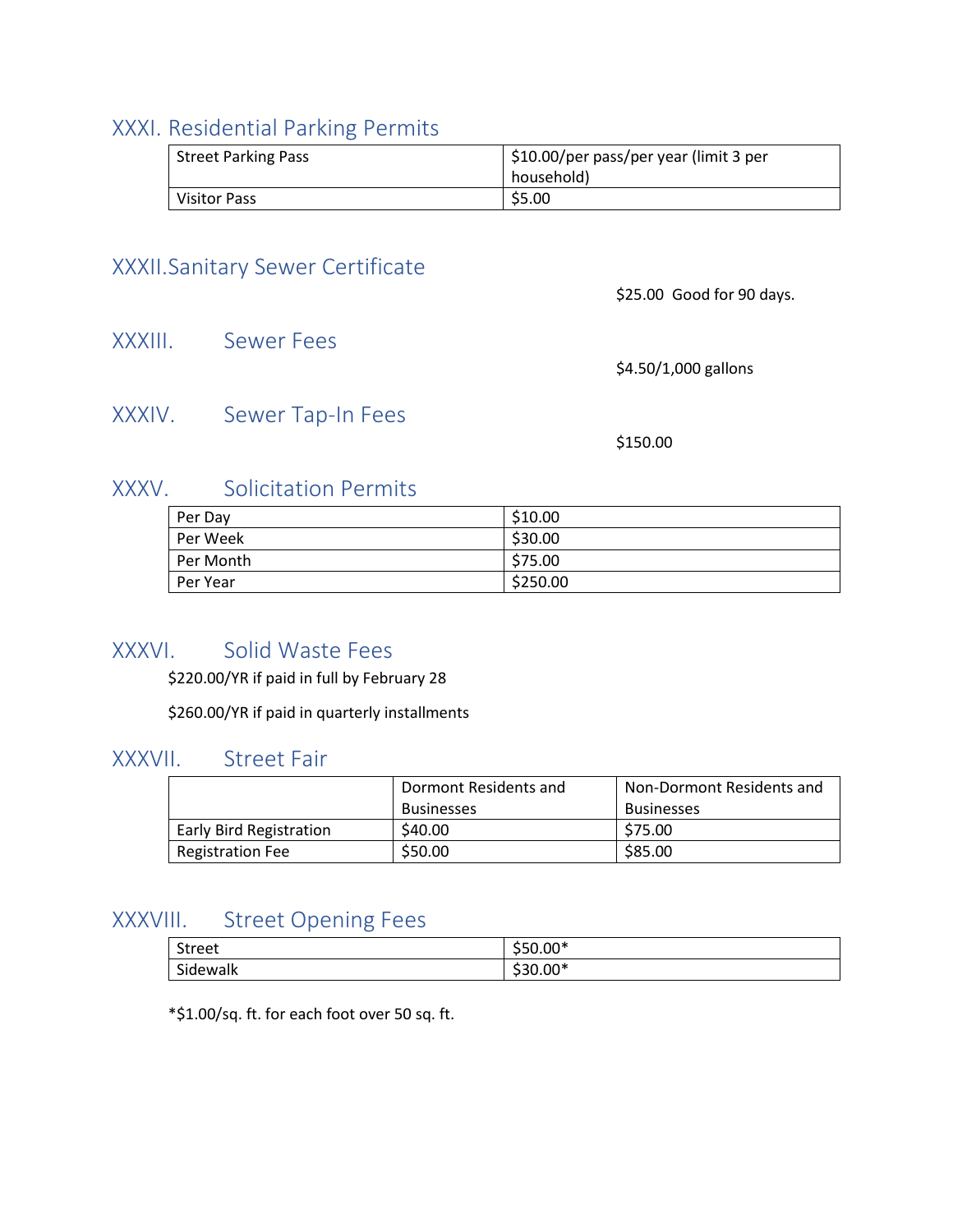#### <span id="page-14-0"></span>XXXI. Residential Parking Permits

| <b>Street Parking Pass</b> | \$10.00/per pass/per year (limit 3 per<br>household) |
|----------------------------|------------------------------------------------------|
| <b>Visitor Pass</b>        | \$5.00                                               |

#### <span id="page-14-1"></span>XXXII.Sanitary Sewer Certificate

\$25.00 Good for 90 days.

<span id="page-14-2"></span>XXXIII. Sewer Fees

\$4.50/1,000 gallons

#### <span id="page-14-3"></span>XXXIV. Sewer Tap-In Fees

\$150.00

#### <span id="page-14-4"></span>XXXV. Solicitation Permits

| Per Day   | \$10.00  |
|-----------|----------|
| Per Week  | \$30.00  |
| Per Month | \$75.00  |
| Per Year  | \$250.00 |

#### <span id="page-14-5"></span>XXXVI. Solid Waste Fees

\$220.00/YR if paid in full by February 28

\$260.00/YR if paid in quarterly installments

#### <span id="page-14-6"></span>XXXVII. Street Fair

|                         | Dormont Residents and | Non-Dormont Residents and |
|-------------------------|-----------------------|---------------------------|
|                         | <b>Businesses</b>     | <b>Businesses</b>         |
| Early Bird Registration | \$40.00               | \$75.00                   |
| <b>Registration Fee</b> | \$50.00               | \$85.00                   |

#### <span id="page-14-7"></span>XXXVIII. Street Opening Fees

| Street                 | $550.00*$ |
|------------------------|-----------|
| <br>$\sim$<br>Sidewalk | $530.00*$ |

\*\$1.00/sq. ft. for each foot over 50 sq. ft.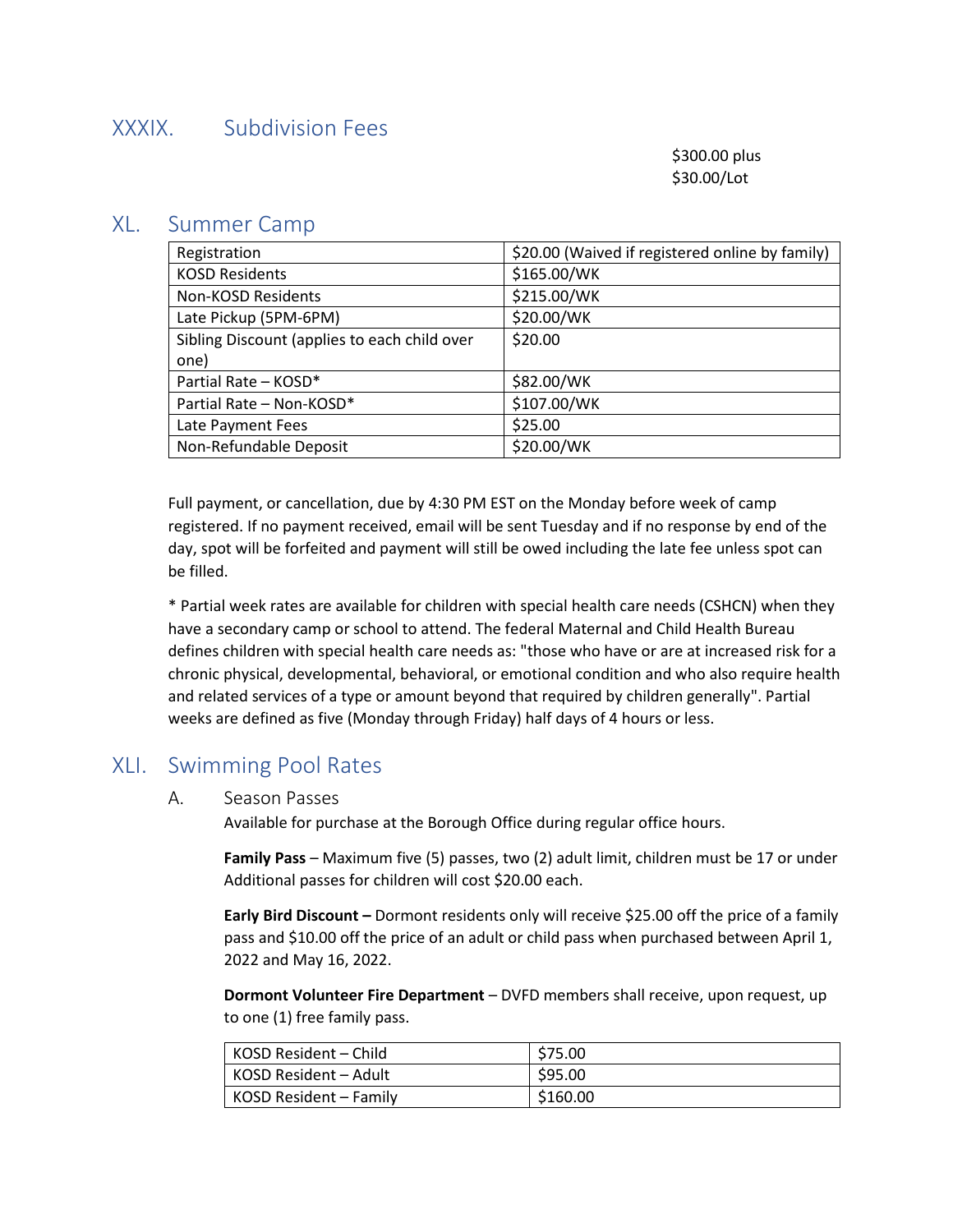#### <span id="page-15-0"></span>XXXIX. Subdivision Fees

\$300.00 plus \$30.00/Lot

#### <span id="page-15-1"></span>XL. Summer Camp

| Registration                                 | \$20.00 (Waived if registered online by family) |
|----------------------------------------------|-------------------------------------------------|
| <b>KOSD Residents</b>                        | \$165.00/WK                                     |
| Non-KOSD Residents                           | \$215.00/WK                                     |
| Late Pickup (5PM-6PM)                        | \$20.00/WK                                      |
| Sibling Discount (applies to each child over | \$20.00                                         |
| one)                                         |                                                 |
| Partial Rate - KOSD*                         | \$82.00/WK                                      |
| Partial Rate - Non-KOSD*                     | \$107.00/WK                                     |
| Late Payment Fees                            | \$25.00                                         |
| Non-Refundable Deposit                       | \$20.00/WK                                      |

Full payment, or cancellation, due by 4:30 PM EST on the Monday before week of camp registered. If no payment received, email will be sent Tuesday and if no response by end of the day, spot will be forfeited and payment will still be owed including the late fee unless spot can be filled.

\* Partial week rates are available for children with special health care needs (CSHCN) when they have a secondary camp or school to attend. The federal Maternal and Child Health Bureau defines children with special health care needs as: "those who have or are at increased risk for a chronic physical, developmental, behavioral, or emotional condition and who also require health and related services of a type or amount beyond that required by children generally". Partial weeks are defined as five (Monday through Friday) half days of 4 hours or less.

#### <span id="page-15-3"></span><span id="page-15-2"></span>XLI. Swimming Pool Rates

#### A. Season Passes

Available for purchase at the Borough Office during regular office hours.

**Family Pass** – Maximum five (5) passes, two (2) adult limit, children must be 17 or under Additional passes for children will cost \$20.00 each.

**Early Bird Discount –** Dormont residents only will receive \$25.00 off the price of a family pass and \$10.00 off the price of an adult or child pass when purchased between April 1, 2022 and May 16, 2022.

**Dormont Volunteer Fire Department** – DVFD members shall receive, upon request, up to one (1) free family pass.

| l KOSD Resident – Child | \$75.00  |
|-------------------------|----------|
| KOSD Resident – Adult   | \$95.00  |
| KOSD Resident – Family  | \$160.00 |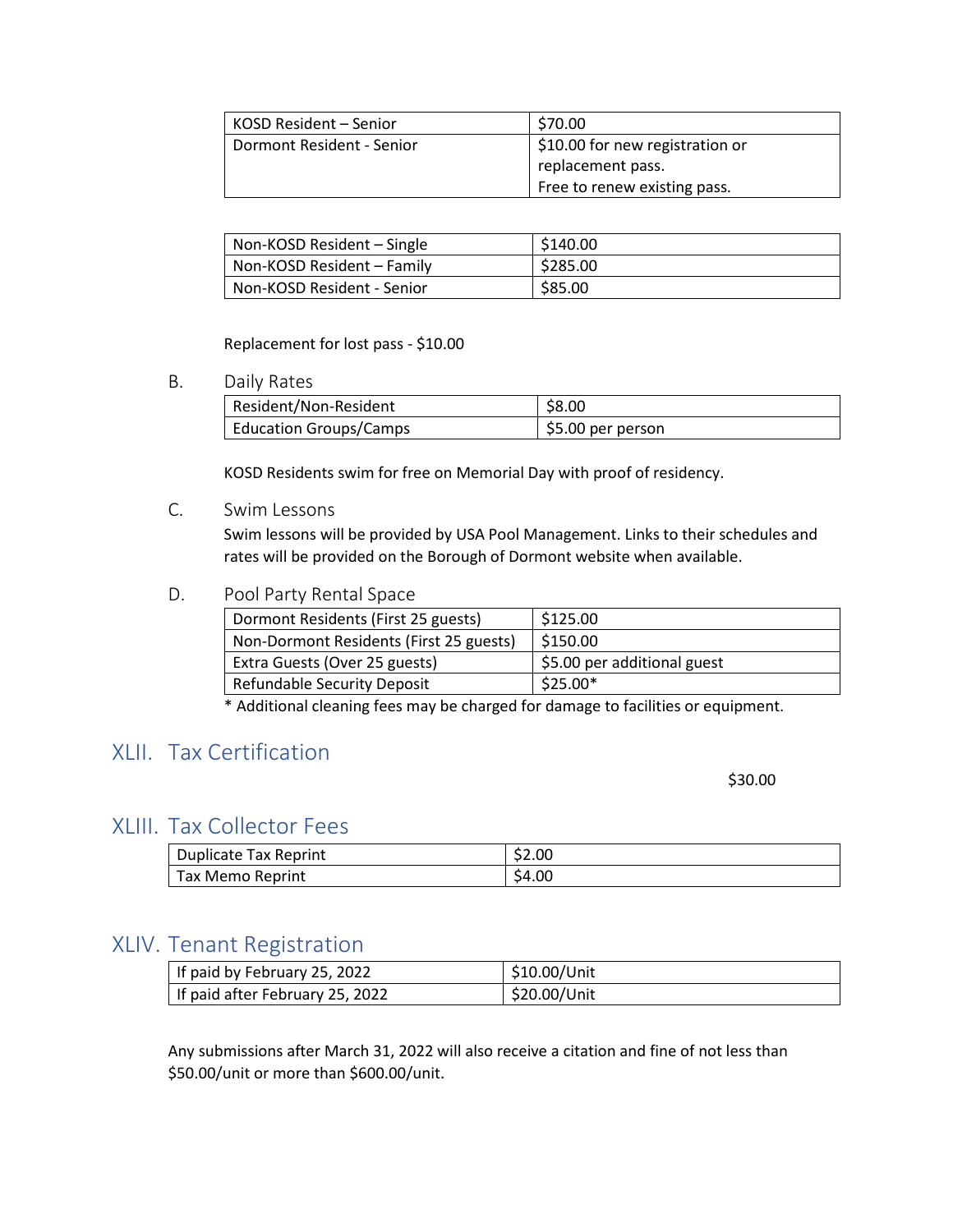| l KOSD Resident – Senior  | \$70.00                         |
|---------------------------|---------------------------------|
| Dormont Resident - Senior | \$10.00 for new registration or |
|                           | replacement pass.               |
|                           | Free to renew existing pass.    |

| Non-KOSD Resident – Single | \$140.00 |
|----------------------------|----------|
| Non-KOSD Resident - Family | \$285.00 |
| Non-KOSD Resident - Senior | \$85.00  |

#### Replacement for lost pass - \$10.00

#### <span id="page-16-0"></span>B. Daily Rates

| Resident/Non-Resident         | \$8.00            |
|-------------------------------|-------------------|
| <b>Education Groups/Camps</b> | \$5.00 per person |

KOSD Residents swim for free on Memorial Day with proof of residency.

#### <span id="page-16-1"></span>C. Swim Lessons

Swim lessons will be provided by USA Pool Management. Links to their schedules and rates will be provided on the Borough of Dormont website when available.

#### <span id="page-16-2"></span>D. Pool Party Rental Space

| Dormont Residents (First 25 guests)     | \$125.00                    |
|-----------------------------------------|-----------------------------|
| Non-Dormont Residents (First 25 guests) | \$150.00                    |
| Extra Guests (Over 25 guests)           | \$5.00 per additional guest |
| <b>Refundable Security Deposit</b>      | $$25.00*$                   |

\* Additional cleaning fees may be charged for damage to facilities or equipment.

## <span id="page-16-3"></span>XLII. Tax Certification

\$30.00

#### <span id="page-16-4"></span>XLIII. Tax Collector Fees

| <b>Duplicate Tax Reprint</b> | \$2.00 |
|------------------------------|--------|
| Tax Memo Reprint             | \$4.00 |

#### <span id="page-16-5"></span>XLIV. Tenant Registration

| If paid by February 25, 2022    | \$10.00/Unit |
|---------------------------------|--------------|
| If paid after February 25, 2022 | \$20.00/Unit |

Any submissions after March 31, 2022 will also receive a citation and fine of not less than \$50.00/unit or more than \$600.00/unit.